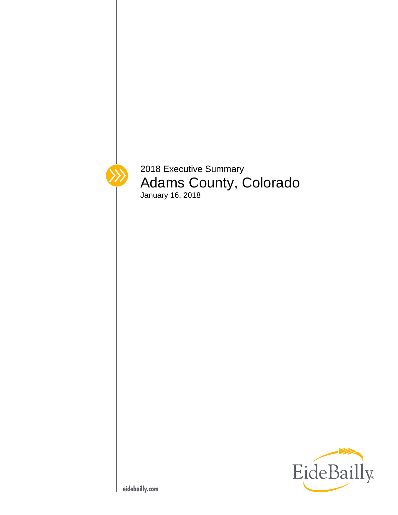

2018 Executive Summary Adams County, Colorado January 16, 2018

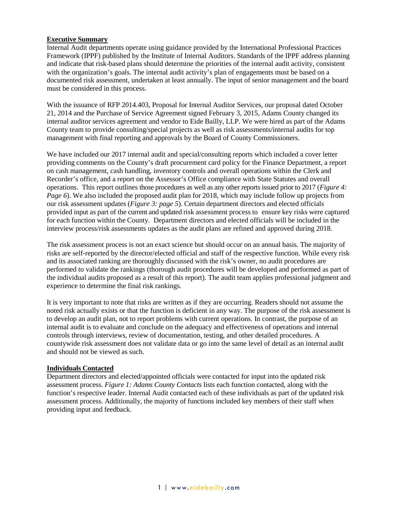# <span id="page-2-0"></span>**Executive Summary**

Internal Audit departments operate using guidance provided by the International Professional Practices Framework (IPPF) published by the Institute of Internal Auditors. Standards of the IPPF address planning and indicate that risk-based plans should determine the priorities of the internal audit activity, consistent with the organization's goals. The internal audit activity's plan of engagements must be based on a documented risk assessment, undertaken at least annually. The input of senior management and the board must be considered in this process.

With the issuance of RFP 2014.403, Proposal for Internal Auditor Services, our proposal dated October 21, 2014 and the Purchase of Service Agreement signed February 3, 2015, Adams County changed its internal auditor services agreement and vendor to Eide Bailly, LLP. We were hired as part of the Adams County team to provide consulting/special projects as well as risk assessments/internal audits for top management with final reporting and approvals by the Board of County Commissioners.

We have included our 2017 internal audit and special/consulting reports which included a cover letter providing comments on the County's draft procurement card policy for the Finance Department, a report on cash management, cash handling, inventory controls and overall operations within the Clerk and Recorder's office, and a report on the Assessor's Office compliance with State Statutes and overall operations. This report outlines those procedures as well as any other reports issued prior to 2017 (*Figure 4: Page 6*). We also included the proposed audit plan for 2018, which may include follow up projects from our risk assessment updates (*Figure 3: page 5*). Certain department directors and elected officials provided input as part of the current and updated risk assessment process to ensure key risks were captured for each function within the County. Department directors and elected officials will be included in the interview process/risk assessments updates as the audit plans are refined and approved during 2018.

The risk assessment process is not an exact science but should occur on an annual basis. The majority of risks are self-reported by the director/elected official and staff of the respective function. While every risk and its associated ranking are thoroughly discussed with the risk's owner, no audit procedures are performed to validate the rankings (thorough audit procedures will be developed and performed as part of the individual audits proposed as a result of this report). The audit team applies professional judgment and experience to determine the final risk rankings.

It is very important to note that risks are written as if they are occurring. Readers should not assume the noted risk actually exists or that the function is deficient in any way. The purpose of the risk assessment is to develop an audit plan, not to report problems with current operations. In contrast, the purpose of an internal audit is to evaluate and conclude on the adequacy and effectiveness of operations and internal controls through interviews, review of documentation, testing, and other detailed procedures. A countywide risk assessment does not validate data or go into the same level of detail as an internal audit and should not be viewed as such.

### <span id="page-2-1"></span>**Individuals Contacted**

Department directors and elected/appointed officials were contacted for input into the updated risk assessment process. *Figure 1: Adams County Contacts* lists each function contacted, along with the function's respective leader. Internal Audit contacted each of these individuals as part of the updated risk assessment process. Additionally, the majority of functions included key members of their staff when providing input and feedback.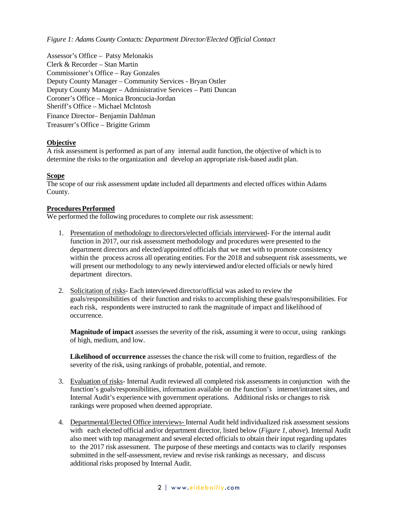*Figure 1: Adams County Contacts: Department Director/Elected Official Contact*

Assessor's Office – Patsy Melonakis Clerk & Recorder – Stan Martin Commissioner's Office – Ray Gonzales Deputy County Manager – Community Services - Bryan Ostler Deputy County Manager – Administrative Services – Patti Duncan Coroner's Office – Monica Broncucia-Jordan Sheriff's Office – Michael McIntosh Finance Director– Benjamin Dahlman Treasurer's Office – Brigitte Grimm

### **Objective**

A risk assessment is performed as part of any internal audit function, the objective of which is to determine the risks to the organization and develop an appropriate risk-based audit plan.

### <span id="page-3-0"></span>**Scope**

The scope of our risk assessment update included all departments and elected offices within Adams County.

#### <span id="page-3-1"></span>**Procedures Performed**

We performed the following procedures to complete our risk assessment:

- 1. Presentation of methodology to directors/elected officials interviewed- For the internal audit function in 2017, our risk assessment methodology and procedures were presented to the department directors and elected/appointed officials that we met with to promote consistency within the process across all operating entities. For the 2018 and subsequent risk assessments, we will present our methodology to any newly interviewed and/or elected officials or newly hired department directors.
- 2. Solicitation of risks- Each interviewed director/official was asked to review the goals/responsibilities of their function and risks to accomplishing these goals/responsibilities. For each risk, respondents were instructed to rank the magnitude of impact and likelihood of occurrence.

**Magnitude of impact** assesses the severity of the risk, assuming it were to occur, using rankings of high, medium, and low.

**Likelihood of occurrence** assesses the chance the risk will come to fruition, regardless of the severity of the risk, using rankings of probable, potential, and remote.

- 3. Evaluation of risks- Internal Audit reviewed all completed risk assessments in conjunction with the function's goals/responsibilities, information available on the function's internet/intranet sites, and Internal Audit's experience with government operations. Additional risks or changes to risk rankings were proposed when deemed appropriate.
- 4. Departmental/Elected Office interviews- Internal Audit held individualized risk assessment sessions with each elected official and/or department director, listed below (*Figure 1, above*). Internal Audit also meet with top management and several elected officials to obtain their input regarding updates to the 2017 risk assessment. The purpose of these meetings and contacts was to clarify responses submitted in the self-assessment, review and revise risk rankings as necessary, and discuss additional risks proposed by Internal Audit.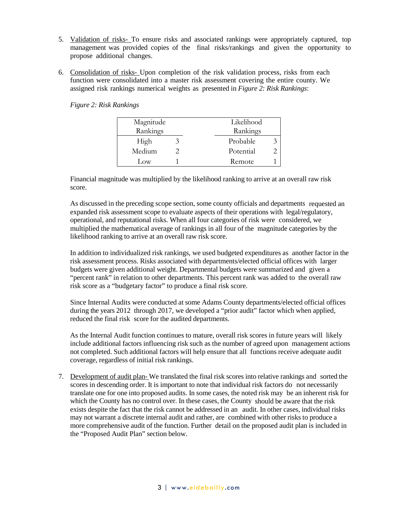- 5. Validation of risks- To ensure risks and associated rankings were appropriately captured, top management was provided copies of the final risks/rankings and given the opportunity to propose additional changes.
- 6. Consolidation of risks- Upon completion of the risk validation process, risks from each function were consolidated into a master risk assessment covering the entire county. We assigned risk rankings numerical weights as presented in *Figure 2: Risk Rankings*:

*Figure 2: Risk Rankings*

| Magnitude |  | Likelihood |   |
|-----------|--|------------|---|
| Rankings  |  | Rankings   |   |
| High      |  | Probable   | 3 |
| Medium    |  | Potential  |   |
| Low       |  | Remote     |   |

Financial magnitude was multiplied by the likelihood ranking to arrive at an overall raw risk score.

As discussed in the preceding scope section, some county officials and departments requested an expanded risk assessment scope to evaluate aspects of their operations with legal/regulatory, operational, and reputational risks. When all four categories of risk were considered, we multiplied the mathematical average of rankings in all four of the magnitude categories by the likelihood ranking to arrive at an overall raw risk score.

In addition to individualized risk rankings, we used budgeted expenditures as another factor in the risk assessment process. Risks associated with departments/elected official offices with larger budgets were given additional weight. Departmental budgets were summarized and given a "percent rank" in relation to other departments. This percent rank was added to the overall raw risk score as a "budgetary factor" to produce a final risk score.

Since Internal Audits were conducted at some Adams County departments/elected official offices during the years 2012 through 2017, we developed a "prior audit" factor which when applied, reduced the final risk score for the audited departments.

As the Internal Audit function continues to mature, overall risk scores in future years will likely include additional factors influencing risk such as the number of agreed upon management actions not completed. Such additional factors will help ensure that all functions receive adequate audit coverage, regardless of initial risk rankings.

7. Development of audit plan- We translated the final risk scores into relative rankings and sorted the scores in descending order. It is important to note that individual risk factors do not necessarily translate one for one into proposed audits. In some cases, the noted risk may be an inherent risk for which the County has no control over. In these cases, the County should be aware that the risk exists despite the fact that the risk cannot be addressed in an audit. In other cases, individual risks may not warrant a discrete internal audit and rather, are combined with other risks to produce a more comprehensive audit of the function. Further detail on the proposed audit plan is included in the "Proposed Audit Plan" section below.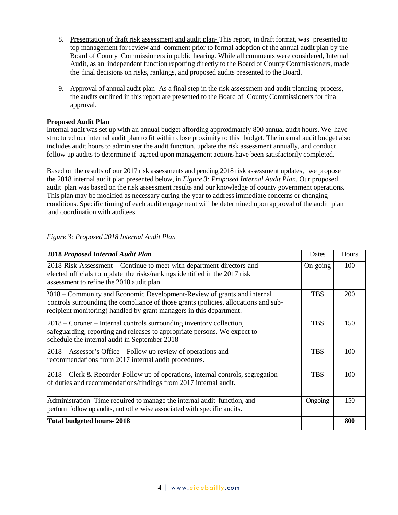- 8. Presentation of draft risk assessment and audit plan- This report, in draft format, was presented to top management for review and comment prior to formal adoption of the annual audit plan by the Board of County Commissioners in public hearing. While all comments were considered, Internal Audit, as an independent function reporting directly to the Board of County Commissioners, made the final decisions on risks, rankings, and proposed audits presented to the Board.
- 9. Approval of annual audit plan- As a final step in the risk assessment and audit planning process, the audits outlined in this report are presented to the Board of County Commissioners for final approval.

# <span id="page-5-0"></span>**Proposed Audit Plan**

Internal audit was set up with an annual budget affording approximately 800 annual audit hours. We have structured our internal audit plan to fit within close proximity to this budget. The internal audit budget also includes audit hours to administer the audit function, update the risk assessment annually, and conduct follow up audits to determine if agreed upon management actions have been satisfactorily completed.

Based on the results of our 2017 risk assessments and pending 2018 risk assessment updates, we propose the 2018 internal audit plan presented below, in *Figure 3: Proposed Internal Audit Plan*. Our proposed audit plan was based on the risk assessment results and our knowledge of county government operations. This plan may be modified as necessary during the year to address immediate concerns or changing conditions. Specific timing of each audit engagement will be determined upon approval of the audit plan and coordination with auditees.

| 2018 Proposed Internal Audit Plan                                                                                                                                                                                                     | Dates      | Hours |
|---------------------------------------------------------------------------------------------------------------------------------------------------------------------------------------------------------------------------------------|------------|-------|
| 2018 Risk Assessment – Continue to meet with department directors and<br>elected officials to update the risks/rankings identified in the 2017 risk<br>assessment to refine the 2018 audit plan.                                      | On-going   | 100   |
| 2018 – Community and Economic Development-Review of grants and internal<br>controls surrounding the compliance of those grants (policies, allocations and sub-<br>recipient monitoring) handled by grant managers in this department. | <b>TBS</b> | 200   |
| 2018 – Coroner – Internal controls surrounding inventory collection,<br>safeguarding, reporting and releases to appropriate persons. We expect to<br>schedule the internal audit in September 2018                                    | <b>TBS</b> | 150   |
| 2018 – Assessor's Office – Follow up review of operations and<br>recommendations from 2017 internal audit procedures.                                                                                                                 | <b>TBS</b> | 100   |
| 2018 – Clerk & Recorder-Follow up of operations, internal controls, segregation<br>of duties and recommendations/findings from 2017 internal audit.                                                                                   | <b>TBS</b> | 100   |
| Administration-Time required to manage the internal audit function, and<br>perform follow up audits, not otherwise associated with specific audits.                                                                                   | Ongoing    | 150   |
| Total budgeted hours-2018                                                                                                                                                                                                             |            | 800   |

### *Figure 3: Proposed 2018 Internal Audit Plan*